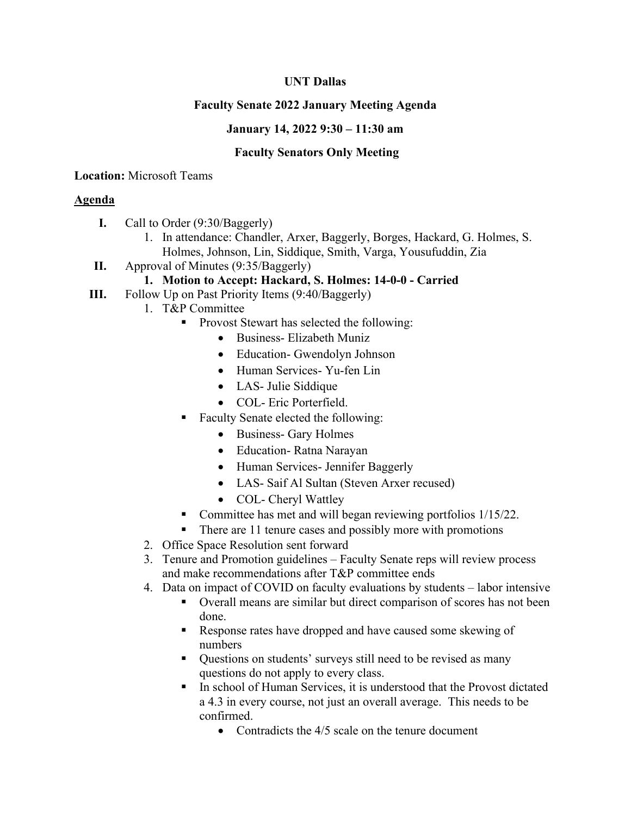# **UNT Dallas**

# **Faculty Senate 2022 January Meeting Agenda**

### **January 14, 2022 9:30 – 11:30 am**

## **Faculty Senators Only Meeting**

### **Location:** Microsoft Teams

# **Agenda**

- **I.** Call to Order (9:30/Baggerly)
	- 1. In attendance: Chandler, Arxer, Baggerly, Borges, Hackard, G. Holmes, S. Holmes, Johnson, Lin, Siddique, Smith, Varga, Yousufuddin, Zia
- **II.** Approval of Minutes (9:35/Baggerly)

# **1. Motion to Accept: Hackard, S. Holmes: 14-0-0 - Carried**

- **III.** Follow Up on Past Priority Items (9:40/Baggerly)
	- 1. T&P Committee
		- **Provost Stewart has selected the following:** 
			- Business- Elizabeth Muniz
			- Education- Gwendolyn Johnson
			- Human Services- Yu-fen Lin
			- LAS- Julie Siddique
			- COL- Eric Porterfield.
		- Faculty Senate elected the following:
			- Business- Gary Holmes
			- Education- Ratna Narayan
			- Human Services- Jennifer Baggerly
			- LAS- Saif Al Sultan (Steven Arxer recused)
			- COL- Cheryl Wattley
		- Committee has met and will began reviewing portfolios 1/15/22.
		- There are 11 tenure cases and possibly more with promotions
	- 2. Office Space Resolution sent forward
	- 3. Tenure and Promotion guidelines Faculty Senate reps will review process and make recommendations after T&P committee ends
	- 4. Data on impact of COVID on faculty evaluations by students labor intensive
		- Overall means are similar but direct comparison of scores has not been done.
		- Response rates have dropped and have caused some skewing of numbers
		- Questions on students' surveys still need to be revised as many questions do not apply to every class.
		- In school of Human Services, it is understood that the Provost dictated a 4.3 in every course, not just an overall average. This needs to be confirmed.
			- Contradicts the 4/5 scale on the tenure document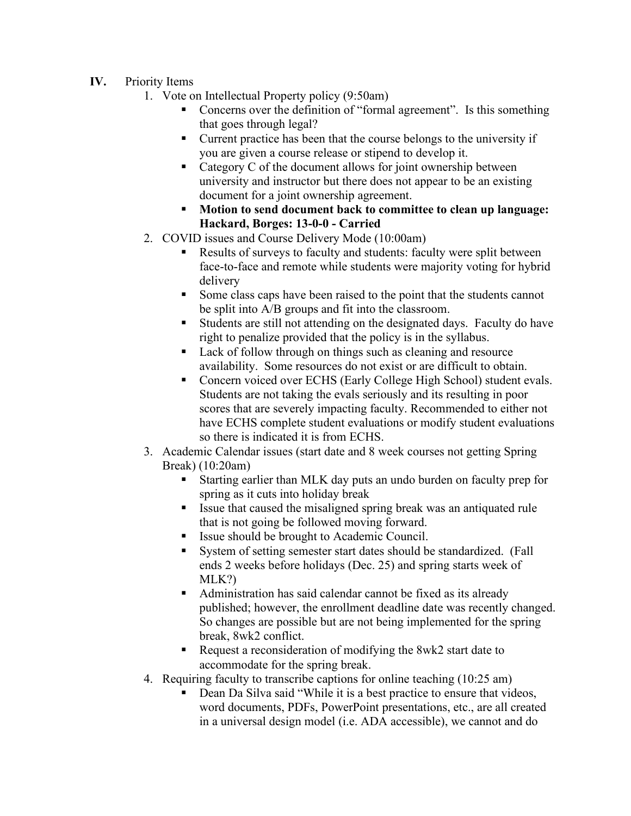- **IV.** Priority Items
	- 1. Vote on Intellectual Property policy (9:50am)
		- Concerns over the definition of "formal agreement". Is this something that goes through legal?
		- Current practice has been that the course belongs to the university if you are given a course release or stipend to develop it.
		- Category C of the document allows for joint ownership between university and instructor but there does not appear to be an existing document for a joint ownership agreement.
		- **Motion to send document back to committee to clean up language: Hackard, Borges: 13-0-0 - Carried**
	- 2. COVID issues and Course Delivery Mode (10:00am)
		- Results of surveys to faculty and students: faculty were split between face-to-face and remote while students were majority voting for hybrid delivery
		- Some class caps have been raised to the point that the students cannot be split into A/B groups and fit into the classroom.
		- Students are still not attending on the designated days. Faculty do have right to penalize provided that the policy is in the syllabus.
		- Lack of follow through on things such as cleaning and resource availability. Some resources do not exist or are difficult to obtain.
		- Concern voiced over ECHS (Early College High School) student evals. Students are not taking the evals seriously and its resulting in poor scores that are severely impacting faculty. Recommended to either not have ECHS complete student evaluations or modify student evaluations so there is indicated it is from ECHS.
	- 3. Academic Calendar issues (start date and 8 week courses not getting Spring Break) (10:20am)
		- Starting earlier than MLK day puts an undo burden on faculty prep for spring as it cuts into holiday break
		- Issue that caused the misaligned spring break was an antiquated rule that is not going be followed moving forward.
		- Issue should be brought to Academic Council.
		- System of setting semester start dates should be standardized. (Fall ends 2 weeks before holidays (Dec. 25) and spring starts week of MLK?)
		- Administration has said calendar cannot be fixed as its already published; however, the enrollment deadline date was recently changed. So changes are possible but are not being implemented for the spring break, 8wk2 conflict.
		- Request a reconsideration of modifying the 8wk2 start date to accommodate for the spring break.
	- 4. Requiring faculty to transcribe captions for online teaching (10:25 am)
		- Dean Da Silva said "While it is a best practice to ensure that videos, word documents, PDFs, PowerPoint presentations, etc., are all created in a universal design model (i.e. ADA accessible), we cannot and do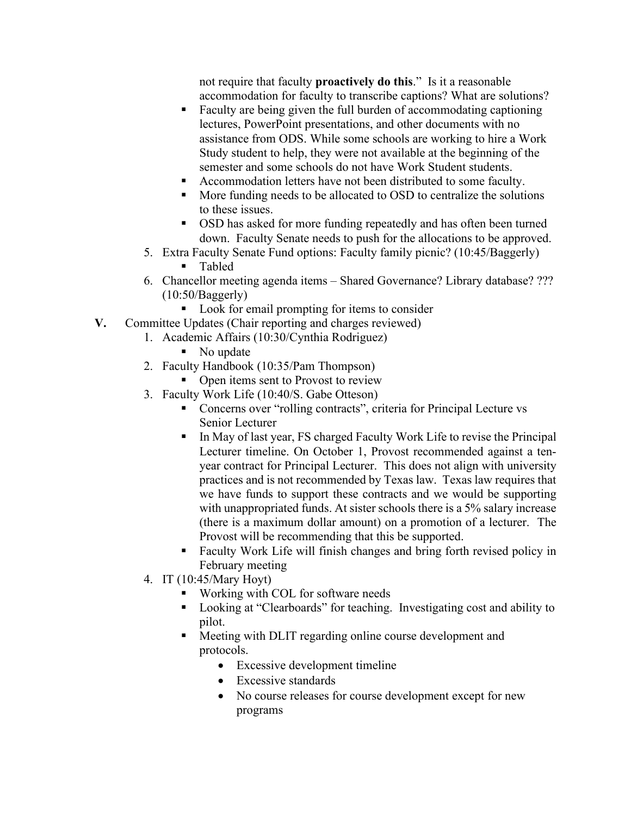not require that faculty **proactively do this**." Is it a reasonable accommodation for faculty to transcribe captions? What are solutions?

- Faculty are being given the full burden of accommodating captioning lectures, PowerPoint presentations, and other documents with no assistance from ODS. While some schools are working to hire a Work Study student to help, they were not available at the beginning of the semester and some schools do not have Work Student students.
- Accommodation letters have not been distributed to some faculty.
- More funding needs to be allocated to OSD to centralize the solutions to these issues.
- OSD has asked for more funding repeatedly and has often been turned down. Faculty Senate needs to push for the allocations to be approved.
- 5. Extra Faculty Senate Fund options: Faculty family picnic? (10:45/Baggerly)
	- Tabled
- 6. Chancellor meeting agenda items Shared Governance? Library database? ??? (10:50/Baggerly)
	- Look for email prompting for items to consider
- **V.** Committee Updates (Chair reporting and charges reviewed)
	- 1. Academic Affairs (10:30/Cynthia Rodriguez)
		- No update
	- 2. Faculty Handbook (10:35/Pam Thompson)
		- Open items sent to Provost to review
	- 3. Faculty Work Life (10:40/S. Gabe Otteson)
		- Concerns over "rolling contracts", criteria for Principal Lecture vs Senior Lecturer
		- In May of last year, FS charged Faculty Work Life to revise the Principal Lecturer timeline. On October 1, Provost recommended against a tenyear contract for Principal Lecturer. This does not align with university practices and is not recommended by Texas law. Texas law requires that we have funds to support these contracts and we would be supporting with unappropriated funds. At sister schools there is a 5% salary increase (there is a maximum dollar amount) on a promotion of a lecturer. The Provost will be recommending that this be supported.
		- Faculty Work Life will finish changes and bring forth revised policy in February meeting
	- 4. IT (10:45/Mary Hoyt)
		- Working with COL for software needs
		- Looking at "Clearboards" for teaching. Investigating cost and ability to pilot.
		- Meeting with DLIT regarding online course development and protocols.
			- Excessive development timeline
			- Excessive standards
			- No course releases for course development except for new programs